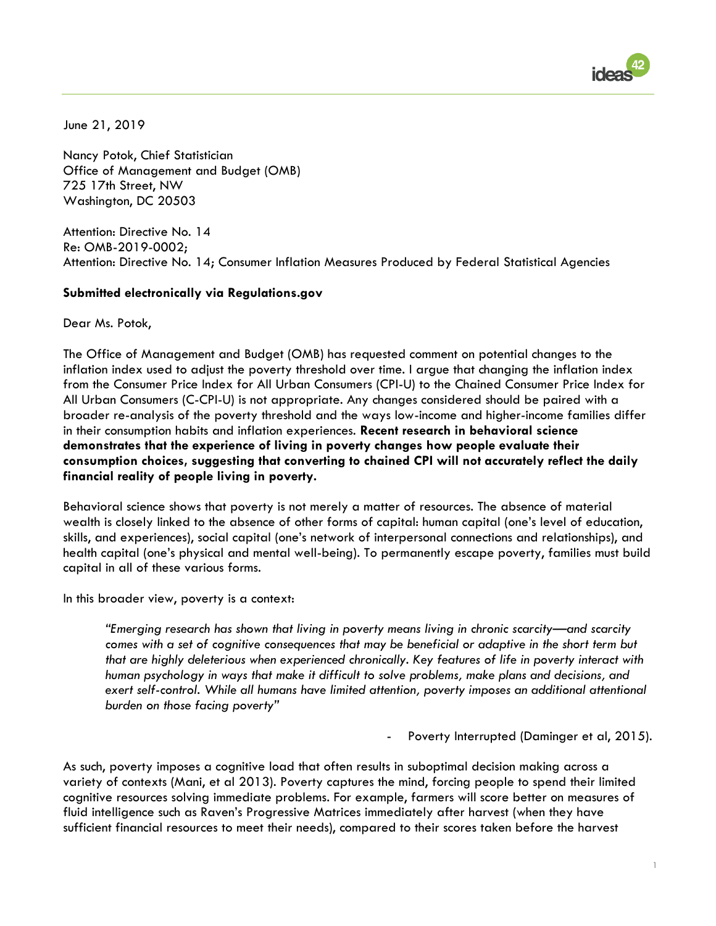

June 21, 2019

Nancy Potok, Chief Statistician Office of Management and Budget (OMB) 725 17th Street, NW Washington, DC 20503

Attention: Directive No. 14 Re: OMB-2019-0002; Attention: Directive No. 14; Consumer Inflation Measures Produced by Federal Statistical Agencies

## **Submitted electronically via Regulations.gov**

Dear Ms. Potok,

The Office of Management and Budget (OMB) has requested comment on potential changes to the inflation index used to adjust the poverty threshold over time. I argue that changing the inflation index from the Consumer Price Index for All Urban Consumers (CPI-U) to the Chained Consumer Price Index for All Urban Consumers (C-CPI-U) is not appropriate. Any changes considered should be paired with a broader re-analysis of the poverty threshold and the ways low-income and higher-income families differ in their consumption habits and inflation experiences. **Recent research in behavioral science demonstrates that the experience of living in poverty changes how people evaluate their consumption choices, suggesting that converting to chained CPI will not accurately reflect the daily financial reality of people living in poverty.** 

Behavioral science shows that poverty is not merely a matter of resources. The absence of material wealth is closely linked to the absence of other forms of capital: human capital (one's level of education, skills, and experiences), social capital (one's network of interpersonal connections and relationships), and health capital (one's physical and mental well-being). To permanently escape poverty, families must build capital in all of these various forms.

In this broader view, poverty is a context:

*"Emerging research has shown that living in poverty means living in chronic scarcity—and scarcity comes with a set of cognitive consequences that may be beneficial or adaptive in the short term but that are highly deleterious when experienced chronically. Key features of life in poverty interact with human psychology in ways that make it difficult to solve problems, make plans and decisions, and*  exert self-control. While all humans have limited attention, poverty imposes an additional attentional *burden on those facing poverty"* 

- Poverty Interrupted (Daminger et al, 2015).

1

As such, poverty imposes a cognitive load that often results in suboptimal decision making across a variety of contexts (Mani, et al 2013). Poverty captures the mind, forcing people to spend their limited cognitive resources solving immediate problems. For example, farmers will score better on measures of fluid intelligence such as Raven's Progressive Matrices immediately after harvest (when they have sufficient financial resources to meet their needs), compared to their scores taken before the harvest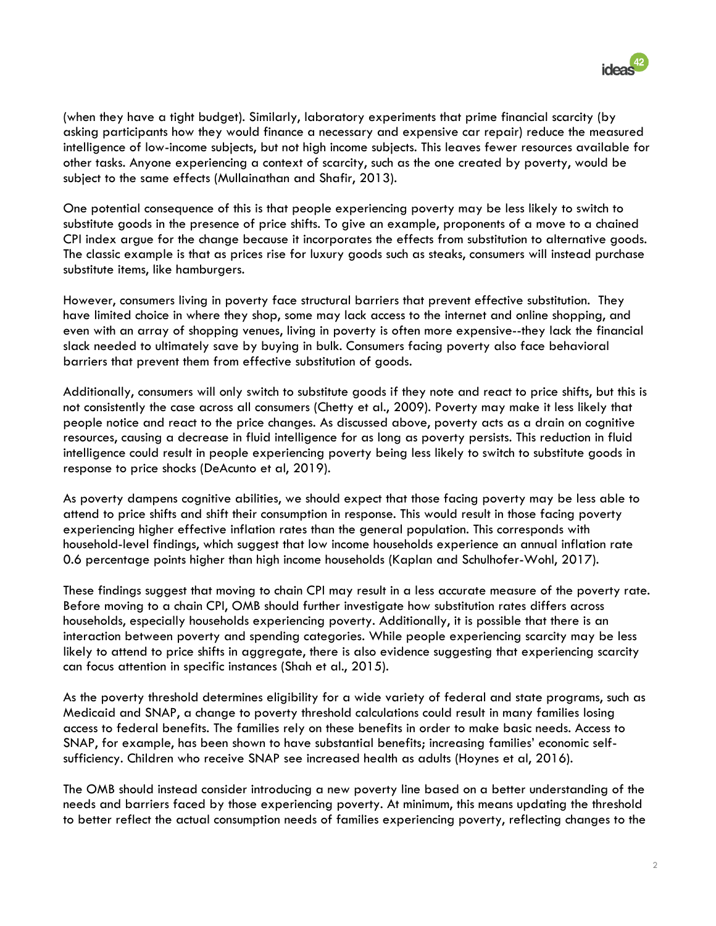

(when they have a tight budget). Similarly, laboratory experiments that prime financial scarcity (by asking participants how they would finance a necessary and expensive car repair) reduce the measured intelligence of low-income subjects, but not high income subjects. This leaves fewer resources available for other tasks. Anyone experiencing a context of scarcity, such as the one created by poverty, would be subject to the same effects (Mullainathan and Shafir, 2013).

One potential consequence of this is that people experiencing poverty may be less likely to switch to substitute goods in the presence of price shifts. To give an example, proponents of a move to a chained CPI index argue for the change because it incorporates the effects from substitution to alternative goods. The classic example is that as prices rise for luxury goods such as steaks, consumers will instead purchase substitute items, like hamburgers.

However, consumers living in poverty face structural barriers that prevent effective substitution. They have limited choice in where they shop, some may lack access to the internet and online shopping, and even with an array of shopping venues, living in poverty is often more expensive--they lack the financial slack needed to ultimately save by buying in bulk. Consumers facing poverty also face behavioral barriers that prevent them from effective substitution of goods.

Additionally, consumers will only switch to substitute goods if they note and react to price shifts, but this is not consistently the case across all consumers (Chetty et al., 2009). Poverty may make it less likely that people notice and react to the price changes. As discussed above, poverty acts as a drain on cognitive resources, causing a decrease in fluid intelligence for as long as poverty persists. This reduction in fluid intelligence could result in people experiencing poverty being less likely to switch to substitute goods in response to price shocks (DeAcunto et al, 2019).

As poverty dampens cognitive abilities, we should expect that those facing poverty may be less able to attend to price shifts and shift their consumption in response. This would result in those facing poverty experiencing higher effective inflation rates than the general population. This corresponds with household-level findings, which suggest that low income households experience an annual inflation rate 0.6 percentage points higher than high income households (Kaplan and Schulhofer-Wohl, 2017).

These findings suggest that moving to chain CPI may result in a less accurate measure of the poverty rate. Before moving to a chain CPI, OMB should further investigate how substitution rates differs across households, especially households experiencing poverty. Additionally, it is possible that there is an interaction between poverty and spending categories. While people experiencing scarcity may be less likely to attend to price shifts in aggregate, there is also evidence suggesting that experiencing scarcity can focus attention in specific instances (Shah et al., 2015).

As the poverty threshold determines eligibility for a wide variety of federal and state programs, such as Medicaid and SNAP, a change to poverty threshold calculations could result in many families losing access to federal benefits. The families rely on these benefits in order to make basic needs. Access to SNAP, for example, has been shown to have substantial benefits; increasing families' economic selfsufficiency. Children who receive SNAP see increased health as adults (Hoynes et al, 2016).

The OMB should instead consider introducing a new poverty line based on a better understanding of the needs and barriers faced by those experiencing poverty. At minimum, this means updating the threshold to better reflect the actual consumption needs of families experiencing poverty, reflecting changes to the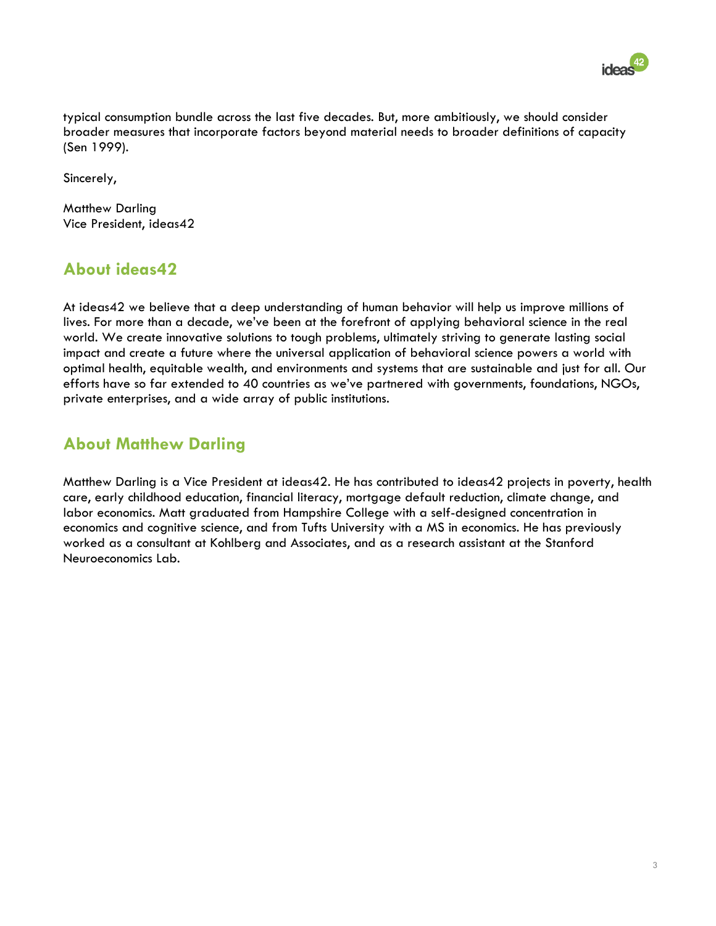

typical consumption bundle across the last five decades. But, more ambitiously, we should consider broader measures that incorporate factors beyond material needs to broader definitions of capacity (Sen 1999).

Sincerely,

Matthew Darling Vice President, ideas42

## **About ideas42**

At ideas42 we believe that a deep understanding of human behavior will help us improve millions of lives. For more than a decade, we've been at the forefront of applying behavioral science in the real world. We create innovative solutions to tough problems, ultimately striving to generate lasting social impact and create a future where the universal application of behavioral science powers a world with optimal health, equitable wealth, and environments and systems that are sustainable and just for all. Our efforts have so far extended to 40 countries as we've partnered with governments, foundations, NGOs, private enterprises, and a wide array of public institutions.

## **About Matthew Darling**

Matthew Darling is a Vice President at ideas42. He has contributed to ideas42 projects in poverty, health care, early childhood education, financial literacy, mortgage default reduction, climate change, and labor economics. Matt graduated from Hampshire College with a self-designed concentration in economics and cognitive science, and from Tufts University with a MS in economics. He has previously worked as a consultant at Kohlberg and Associates, and as a research assistant at the Stanford Neuroeconomics Lab.